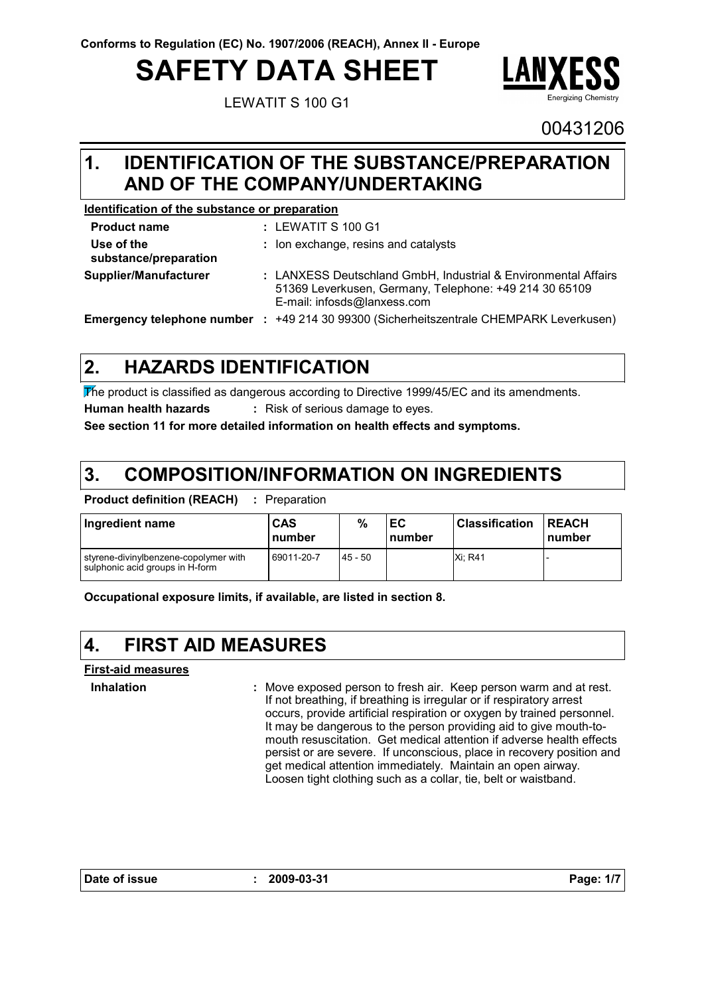# **SAFETY DATA SHEET**

LEWATIT S 100 G1



00431206

### **IDENTIFICATION OF THE SUBSTANCE/PREPARATION 1. AND OF THE COMPANY/UNDERTAKING**

### **Identification of the substance or preparation**

| <b>Product name</b>                 | : LEWATIT S 100 G1                                                                                                                                      |
|-------------------------------------|---------------------------------------------------------------------------------------------------------------------------------------------------------|
| Use of the<br>substance/preparation | : Ion exchange, resins and catalysts                                                                                                                    |
| Supplier/Manufacturer               | : LANXESS Deutschland GmbH, Industrial & Environmental Affairs<br>51369 Leverkusen, Germany, Telephone: +49 214 30 65109<br>E-mail: infosds@lanxess.com |
|                                     | <b>Emergency telephone number : +49 214 30 99300 (Sicherheitszentrale CHEMPARK Leverkusen)</b>                                                          |

#### **HAZARDS IDENTIFICATION 2.**

The product is classified as dangerous according to Directive 1999/45/EC and its amendments. **Human health hazards :** Risk of serious damage to eyes.

**See section 11 for more detailed information on health effects and symptoms.**

#### **COMPOSITION/INFORMATION ON INGREDIENTS 3.**

**Product definition (REACH) :** Preparation

| Ingredient name                                                          | <b>CAS</b><br>number | %         | ЕC<br>number | l Classification | <b>IREACH</b><br>number |
|--------------------------------------------------------------------------|----------------------|-----------|--------------|------------------|-------------------------|
| styrene-divinylbenzene-copolymer with<br>sulphonic acid groups in H-form | 69011-20-7           | $45 - 50$ |              | Xi: R41          |                         |

**Occupational exposure limits, if available, are listed in section 8.**

#### **4. FIRST AID MEASURES**

**First-aid measures**

**Inhalation :**

Move exposed person to fresh air. Keep person warm and at rest. If not breathing, if breathing is irregular or if respiratory arrest occurs, provide artificial respiration or oxygen by trained personnel. It may be dangerous to the person providing aid to give mouth-tomouth resuscitation. Get medical attention if adverse health effects persist or are severe. If unconscious, place in recovery position and get medical attention immediately. Maintain an open airway. Loosen tight clothing such as a collar, tie, belt or waistband.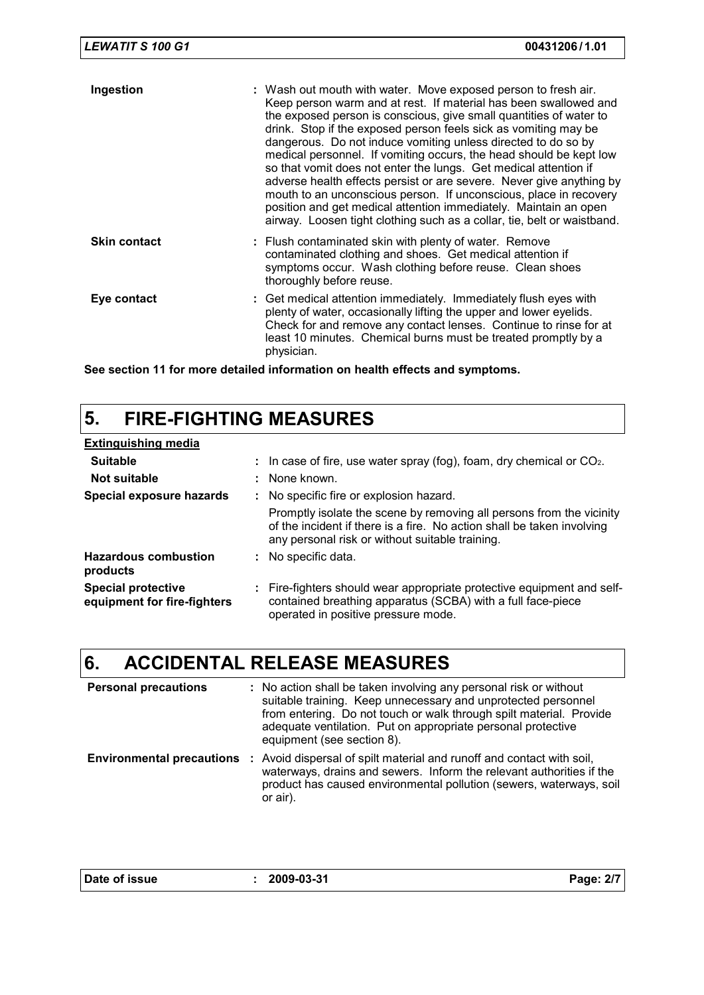| <b>LEWATIT S 100 G1</b> | 00431206/1.01                                                                                                                                                                                                                                                                                                                                                                                                                                                                                                                                                                                                                                                                                                                                                                      |
|-------------------------|------------------------------------------------------------------------------------------------------------------------------------------------------------------------------------------------------------------------------------------------------------------------------------------------------------------------------------------------------------------------------------------------------------------------------------------------------------------------------------------------------------------------------------------------------------------------------------------------------------------------------------------------------------------------------------------------------------------------------------------------------------------------------------|
| Ingestion               | : Wash out mouth with water. Move exposed person to fresh air.<br>Keep person warm and at rest. If material has been swallowed and<br>the exposed person is conscious, give small quantities of water to<br>drink. Stop if the exposed person feels sick as vomiting may be<br>dangerous. Do not induce vomiting unless directed to do so by<br>medical personnel. If vomiting occurs, the head should be kept low<br>so that vomit does not enter the lungs. Get medical attention if<br>adverse health effects persist or are severe. Never give anything by<br>mouth to an unconscious person. If unconscious, place in recovery<br>position and get medical attention immediately. Maintain an open<br>airway. Loosen tight clothing such as a collar, tie, belt or waistband. |
| <b>Skin contact</b>     | : Flush contaminated skin with plenty of water. Remove<br>contaminated clothing and shoes. Get medical attention if<br>symptoms occur. Wash clothing before reuse. Clean shoes<br>thoroughly before reuse.                                                                                                                                                                                                                                                                                                                                                                                                                                                                                                                                                                         |
| Eye contact             | : Get medical attention immediately. Immediately flush eyes with<br>plenty of water, occasionally lifting the upper and lower eyelids.<br>Check for and remove any contact lenses. Continue to rinse for at<br>least 10 minutes. Chemical burns must be treated promptly by a<br>physician.                                                                                                                                                                                                                                                                                                                                                                                                                                                                                        |

**See section 11 for more detailed information on health effects and symptoms.**

# **5. FIRE-FIGHTING MEASURES**

| <b>Extinguishing media</b>                               |                                                                                                                                                                                                   |
|----------------------------------------------------------|---------------------------------------------------------------------------------------------------------------------------------------------------------------------------------------------------|
| <b>Suitable</b>                                          | : In case of fire, use water spray (fog), foam, dry chemical or $CO2$ .                                                                                                                           |
| Not suitable                                             | : None known.                                                                                                                                                                                     |
| Special exposure hazards                                 | : No specific fire or explosion hazard.                                                                                                                                                           |
|                                                          | Promptly isolate the scene by removing all persons from the vicinity<br>of the incident if there is a fire. No action shall be taken involving<br>any personal risk or without suitable training. |
| <b>Hazardous combustion</b><br>products                  | : No specific data.                                                                                                                                                                               |
| <b>Special protective</b><br>equipment for fire-fighters | : Fire-fighters should wear appropriate protective equipment and self-<br>contained breathing apparatus (SCBA) with a full face-piece<br>operated in positive pressure mode.                      |

# **6. ACCIDENTAL RELEASE MEASURES**

| <b>Personal precautions</b> | : No action shall be taken involving any personal risk or without<br>suitable training. Keep unnecessary and unprotected personnel<br>from entering. Do not touch or walk through spilt material. Provide<br>adequate ventilation. Put on appropriate personal protective<br>equipment (see section 8). |
|-----------------------------|---------------------------------------------------------------------------------------------------------------------------------------------------------------------------------------------------------------------------------------------------------------------------------------------------------|
|                             | <b>Environmental precautions</b> : Avoid dispersal of spilt material and runoff and contact with soil,<br>waterways, drains and sewers. Inform the relevant authorities if the<br>product has caused environmental pollution (sewers, waterways, soil<br>or air).                                       |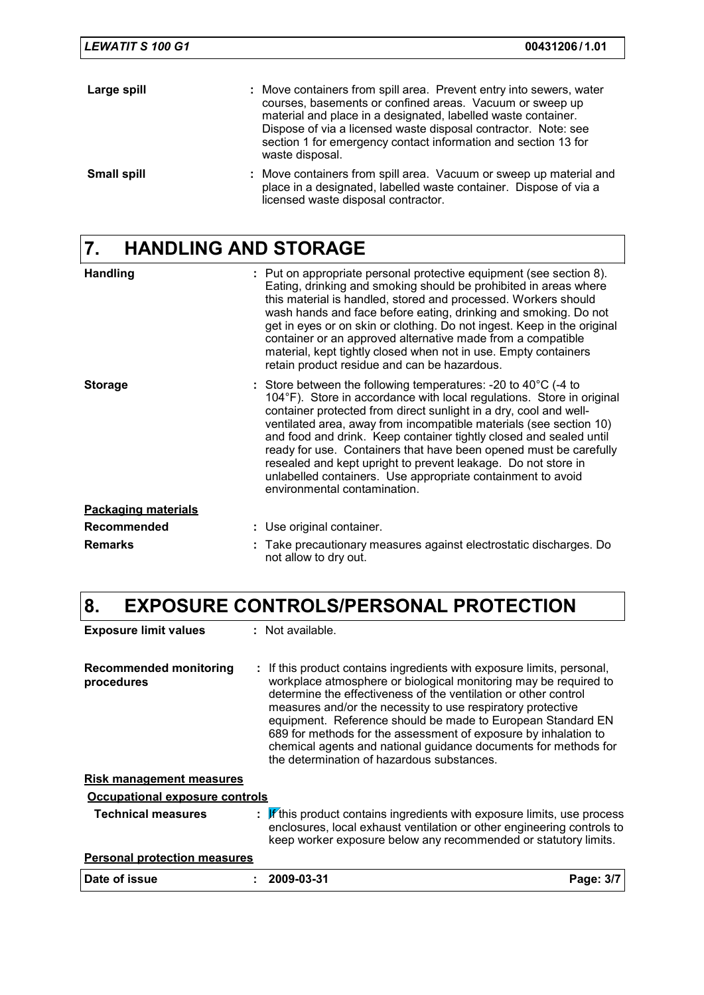| <b>LEWATIT S 100 G1</b> | 00431206/1.01                                                                                                                                                                                                                                                                                                                                           |
|-------------------------|---------------------------------------------------------------------------------------------------------------------------------------------------------------------------------------------------------------------------------------------------------------------------------------------------------------------------------------------------------|
| Large spill             | : Move containers from spill area. Prevent entry into sewers, water<br>courses, basements or confined areas. Vacuum or sweep up<br>material and place in a designated, labelled waste container.<br>Dispose of via a licensed waste disposal contractor. Note: see<br>section 1 for emergency contact information and section 13 for<br>waste disposal. |
| <b>Small spill</b>      | : Move containers from spill area. Vacuum or sweep up material and<br>place in a designated, labelled waste container. Dispose of via a<br>licensed waste disposal contractor.                                                                                                                                                                          |

# **7. HANDLING AND STORAGE**

| <b>Handling</b>            | : Put on appropriate personal protective equipment (see section 8).<br>Eating, drinking and smoking should be prohibited in areas where<br>this material is handled, stored and processed. Workers should<br>wash hands and face before eating, drinking and smoking. Do not<br>get in eyes or on skin or clothing. Do not ingest. Keep in the original<br>container or an approved alternative made from a compatible<br>material, kept tightly closed when not in use. Empty containers<br>retain product residue and can be hazardous.                                                               |
|----------------------------|---------------------------------------------------------------------------------------------------------------------------------------------------------------------------------------------------------------------------------------------------------------------------------------------------------------------------------------------------------------------------------------------------------------------------------------------------------------------------------------------------------------------------------------------------------------------------------------------------------|
| <b>Storage</b>             | : Store between the following temperatures: -20 to $40^{\circ}$ C (-4 to<br>104°F). Store in accordance with local regulations. Store in original<br>container protected from direct sunlight in a dry, cool and well-<br>ventilated area, away from incompatible materials (see section 10)<br>and food and drink. Keep container tightly closed and sealed until<br>ready for use. Containers that have been opened must be carefully<br>resealed and kept upright to prevent leakage. Do not store in<br>unlabelled containers. Use appropriate containment to avoid<br>environmental contamination. |
| <b>Packaging materials</b> |                                                                                                                                                                                                                                                                                                                                                                                                                                                                                                                                                                                                         |
| <b>Recommended</b>         | : Use original container.                                                                                                                                                                                                                                                                                                                                                                                                                                                                                                                                                                               |
| <b>Remarks</b>             | Take precautionary measures against electrostatic discharges. Do<br>not allow to dry out.                                                                                                                                                                                                                                                                                                                                                                                                                                                                                                               |

# **8. EXPOSURE CONTROLS/PERSONAL PROTECTION**

| <b>Exposure limit values</b>         | $:$ Not available.                                                                                                                                                                                                                                                                                                                                                                                                                                                                                                              |           |
|--------------------------------------|---------------------------------------------------------------------------------------------------------------------------------------------------------------------------------------------------------------------------------------------------------------------------------------------------------------------------------------------------------------------------------------------------------------------------------------------------------------------------------------------------------------------------------|-----------|
| Recommended monitoring<br>procedures | : If this product contains ingredients with exposure limits, personal,<br>workplace atmosphere or biological monitoring may be required to<br>determine the effectiveness of the ventilation or other control<br>measures and/or the necessity to use respiratory protective<br>equipment. Reference should be made to European Standard EN<br>689 for methods for the assessment of exposure by inhalation to<br>chemical agents and national guidance documents for methods for<br>the determination of hazardous substances. |           |
| <u>Risk management measures</u>      |                                                                                                                                                                                                                                                                                                                                                                                                                                                                                                                                 |           |
| Occupational exposure controls       |                                                                                                                                                                                                                                                                                                                                                                                                                                                                                                                                 |           |
| <b>Technical measures</b>            | $\mathbf{F}$ if this product contains ingredients with exposure limits, use process<br>enclosures, local exhaust ventilation or other engineering controls to<br>keep worker exposure below any recommended or statutory limits.                                                                                                                                                                                                                                                                                                |           |
| <b>Personal protection measures</b>  |                                                                                                                                                                                                                                                                                                                                                                                                                                                                                                                                 |           |
| Date of issue                        | 2009-03-31                                                                                                                                                                                                                                                                                                                                                                                                                                                                                                                      | Page: 3/7 |
|                                      |                                                                                                                                                                                                                                                                                                                                                                                                                                                                                                                                 |           |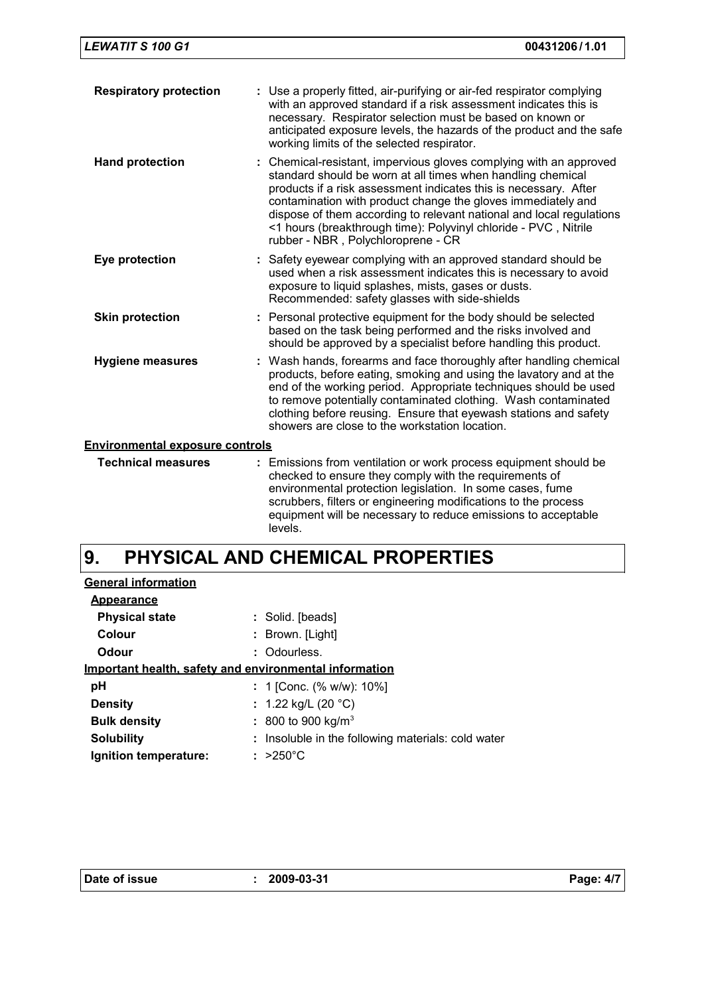| <b>Respiratory protection</b>          | : Use a properly fitted, air-purifying or air-fed respirator complying<br>with an approved standard if a risk assessment indicates this is<br>necessary. Respirator selection must be based on known or<br>anticipated exposure levels, the hazards of the product and the safe<br>working limits of the selected respirator.                                                                                                                          |  |
|----------------------------------------|--------------------------------------------------------------------------------------------------------------------------------------------------------------------------------------------------------------------------------------------------------------------------------------------------------------------------------------------------------------------------------------------------------------------------------------------------------|--|
| <b>Hand protection</b>                 | : Chemical-resistant, impervious gloves complying with an approved<br>standard should be worn at all times when handling chemical<br>products if a risk assessment indicates this is necessary. After<br>contamination with product change the gloves immediately and<br>dispose of them according to relevant national and local regulations<br><1 hours (breakthrough time): Polyvinyl chloride - PVC, Nitrile<br>rubber - NBR, Polychloroprene - CR |  |
| Eye protection                         | : Safety eyewear complying with an approved standard should be<br>used when a risk assessment indicates this is necessary to avoid<br>exposure to liquid splashes, mists, gases or dusts.<br>Recommended: safety glasses with side-shields                                                                                                                                                                                                             |  |
| <b>Skin protection</b>                 | : Personal protective equipment for the body should be selected<br>based on the task being performed and the risks involved and<br>should be approved by a specialist before handling this product.                                                                                                                                                                                                                                                    |  |
| <b>Hygiene measures</b>                | : Wash hands, forearms and face thoroughly after handling chemical<br>products, before eating, smoking and using the lavatory and at the<br>end of the working period. Appropriate techniques should be used<br>to remove potentially contaminated clothing. Wash contaminated<br>clothing before reusing. Ensure that eyewash stations and safety<br>showers are close to the workstation location.                                                   |  |
| <b>Environmental exposure controls</b> |                                                                                                                                                                                                                                                                                                                                                                                                                                                        |  |
| <b>Technical measures</b>              | : Emissions from ventilation or work process equipment should be<br>checked to ensure they comply with the requirements of<br>environmental protection legislation. In some cases, fume<br>scrubbers, filters or engineering modifications to the process<br>equipment will be necessary to reduce emissions to acceptable<br>levels.                                                                                                                  |  |

#### **PHYSICAL AND CHEMICAL PROPERTIES 9.**

| : Solid. [beads]                                       |
|--------------------------------------------------------|
| : Brown. [Light]                                       |
| : Odourless.                                           |
| Important health, safety and environmental information |
| : 1 [Conc. (% w/w): 10%]                               |
| : 1.22 kg/L (20 $^{\circ}$ C)                          |
| : 800 to 900 kg/m <sup>3</sup>                         |
| : Insoluble in the following materials: cold water     |
| $: >250^{\circ}$ C                                     |
|                                                        |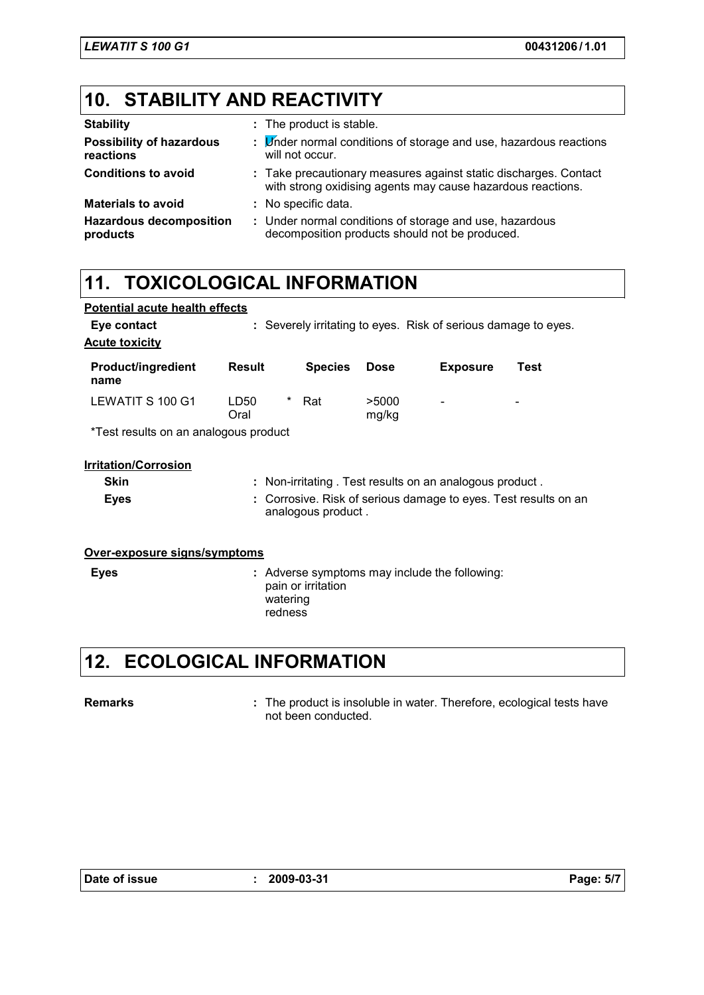## **10. STABILITY AND REACTIVITY**

| <b>Stability</b>                             | : The product is stable.                                                                                                        |
|----------------------------------------------|---------------------------------------------------------------------------------------------------------------------------------|
| <b>Possibility of hazardous</b><br>reactions | : Under normal conditions of storage and use, hazardous reactions<br>will not occur.                                            |
| <b>Conditions to avoid</b>                   | : Take precautionary measures against static discharges. Contact<br>with strong oxidising agents may cause hazardous reactions. |
| <b>Materials to avoid</b>                    | : No specific data.                                                                                                             |
| <b>Hazardous decomposition</b><br>products   | : Under normal conditions of storage and use, hazardous<br>decomposition products should not be produced.                       |

# **11. TOXICOLOGICAL INFORMATION**

| <b>Potential acute health effects</b> |                                                                |                                                               |                 |      |
|---------------------------------------|----------------------------------------------------------------|---------------------------------------------------------------|-----------------|------|
| Eye contact                           | : Severely irritating to eyes. Risk of serious damage to eyes. |                                                               |                 |      |
| <b>Acute toxicity</b>                 |                                                                |                                                               |                 |      |
| <b>Product/ingredient</b><br>name     | <b>Result</b><br><b>Species</b>                                | <b>Dose</b>                                                   | <b>Exposure</b> | Test |
| LEWATIT S 100 G1                      | *<br>LD50<br>Rat<br>Oral                                       | >5000<br>mg/kg                                                |                 |      |
| *Test results on an analogous product |                                                                |                                                               |                 |      |
| <b>Irritation/Corrosion</b>           |                                                                |                                                               |                 |      |
| <b>Skin</b>                           | : Non-irritating. Test results on an analogous product.        |                                                               |                 |      |
| <b>Eyes</b>                           | ÷.<br>analogous product.                                       | Corrosive. Risk of serious damage to eyes. Test results on an |                 |      |
| Over-exposure signs/symptoms          |                                                                |                                                               |                 |      |
| <b>Eyes</b>                           | : Adverse symptoms may include the following:                  |                                                               |                 |      |

### watering redness

pain or irritation

## **12. ECOLOGICAL INFORMATION**

#### **Remarks :**

The product is insoluble in water. Therefore, ecological tests have not been conducted.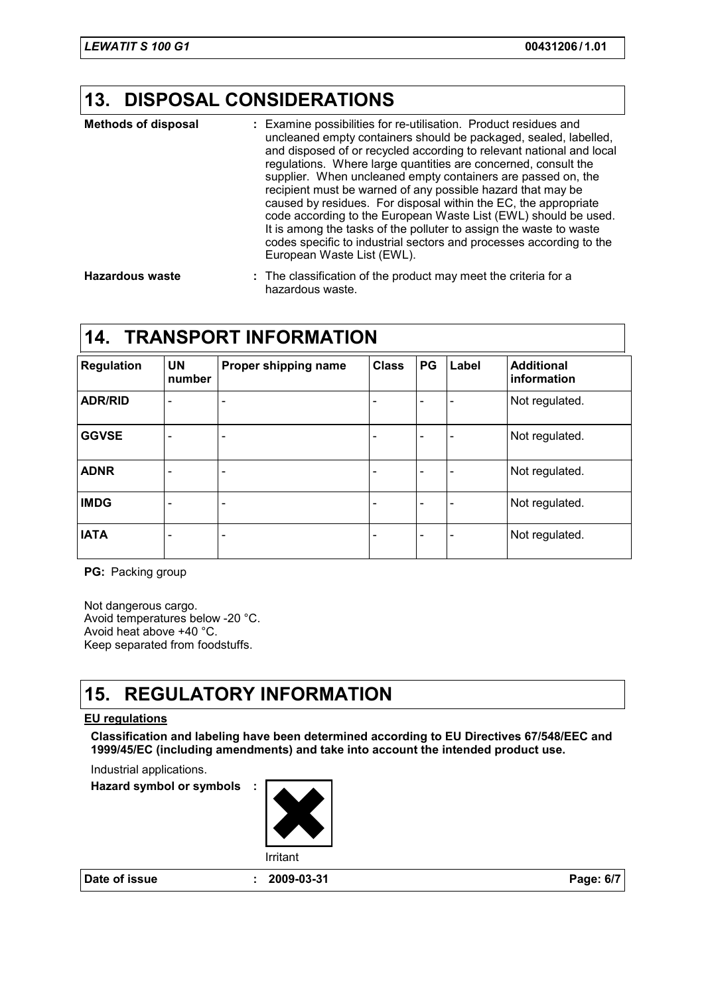### **13. DISPOSAL CONSIDERATIONS**

| <b>Methods of disposal</b>       | : Examine possibilities for re-utilisation. Product residues and<br>uncleaned empty containers should be packaged, sealed, labelled,<br>and disposed of or recycled according to relevant national and local<br>regulations. Where large quantities are concerned, consult the<br>supplier. When uncleaned empty containers are passed on, the<br>recipient must be warned of any possible hazard that may be<br>caused by residues. For disposal within the EC, the appropriate<br>code according to the European Waste List (EWL) should be used.<br>It is among the tasks of the polluter to assign the waste to waste<br>codes specific to industrial sectors and processes according to the<br>European Waste List (EWL). |
|----------------------------------|--------------------------------------------------------------------------------------------------------------------------------------------------------------------------------------------------------------------------------------------------------------------------------------------------------------------------------------------------------------------------------------------------------------------------------------------------------------------------------------------------------------------------------------------------------------------------------------------------------------------------------------------------------------------------------------------------------------------------------|
| المشاهدين المتحاملين والمستحدثان | . . The closelfication of the number of most model the culture four-                                                                                                                                                                                                                                                                                                                                                                                                                                                                                                                                                                                                                                                           |

The classification of the product may meet the criteria for a hazardous waste. **Hazardous waste :**

### **14. TRANSPORT INFORMATION**

| <b>Regulation</b> | <b>UN</b><br>number      | Proper shipping name         | <b>Class</b> | <b>PG</b> | Label                    | <b>Additional</b><br>information |
|-------------------|--------------------------|------------------------------|--------------|-----------|--------------------------|----------------------------------|
| <b>ADR/RID</b>    |                          | ٠                            |              |           |                          | Not regulated.                   |
| <b>GGVSE</b>      | $\qquad \qquad$          | $\overline{\phantom{m}}$     |              |           | $\overline{\phantom{0}}$ | Not regulated.                   |
| <b>ADNR</b>       | ۰                        | $\overline{\phantom{a}}$     |              |           | ۰                        | Not regulated.                   |
| <b>IMDG</b>       | $\overline{\phantom{0}}$ | $\qquad \qquad \blacksquare$ |              |           | $\overline{\phantom{0}}$ | Not regulated.                   |
| <b>IATA</b>       | $\overline{\phantom{0}}$ | $\overline{\phantom{a}}$     |              |           | ۰                        | Not regulated.                   |

**PG:** Packing group

Not dangerous cargo. Avoid temperatures below -20 °C. Avoid heat above +40 °C. Keep separated from foodstuffs.

### **15. REGULATORY INFORMATION**

#### **EU regulations**

**Classification and labeling have been determined according to EU Directives 67/548/EEC and 1999/45/EC (including amendments) and take into account the intended product use.**

Industrial applications.

**Hazard symbol or symbols :**



**Date of issue : 2009-03-31 Page: 6/7**